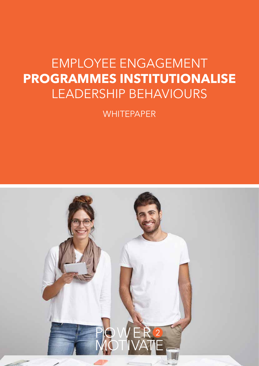# EMPLOYEE ENGAGEMENT **PROGRAMMES INSTITUTIONALISE**  LEADERSHIP BEHAVIOURS

**WHITEPAPER** 

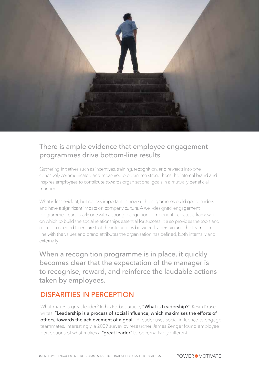

#### There is ample evidence that employee engagement programmes drive bottom-line results.

Gathering initiatives such as incentives, training, recognition, and rewards into one cohesively communicated and measured programme strengthens the internal brand and inspires employees to contribute towards organisational goals in a mutually beneficial manner.

What is less evident, but no less important, is how such programmes build good leaders and have a significant impact on company culture. A well-designed engagement programme – particularly one with a strong recognition component – creates a framework on which to build the social relationships essential for success. It also provides the tools and direction needed to ensure that the interactions between leadership and the team is in line with the values and brand attributes the organisation has defined, both internally and externally.

When a recognition programme is in place, it quickly becomes clear that the expectation of the manager is to recognise, reward, and reinforce the laudable actions taken by employees.

#### DISPARITIES IN PERCEPTION

What makes a great leader? In his Forbes article, "What is Leadership?" Kevin Kruse writes, "Leadership is a process of social influence, which maximises the efforts of others, towards the achievement of a goal." A leader uses social influence to engage teammates. Interestingly, a 2009 survey by researcher James Zenger found employee perceptions of what makes a "great leader" to be remarkably different.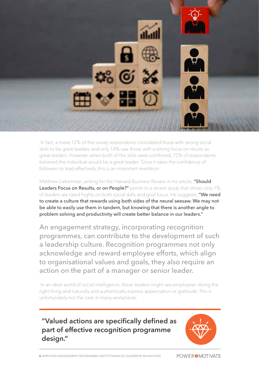

 In fact, a mere 12% of the survey respondents considered those with strong social skills to be great leaders and only 14% saw those with a strong focus on results as great leaders. However, when both of the skills were combined, 72% of respondents believed the individual would be a great leader. Since it takes the confidence of followers to lead effectively, this is an important revelation.

Matthew Lieberman, writing for the Harvard Business Review in his article, "Should Leaders Focus on Results, or on People?" points to a recent study that shows only 1% of leaders are rated highly on both social skills and goal focus. He suggests, "We need to create a culture that rewards using both sides of the neural seesaw. We may not be able to easily use them in tandem, but knowing that there is another angle to problem solving and productivity will create better balance in our leaders."

An engagement strategy, incorporating recognition programmes, can contribute to the development of such a leadership culture. Recognition programmes not only acknowledge and reward employee efforts, which align to organisational values and goals, they also require an action on the part of a manager or senior leader.

 In an ideal world of social intelligence, these leaders might see employees doing the right thing and naturally and authentically express appreciation or gratitude. This is unfortunately not the case in many workplaces.

#### **"Valued actions are specifically defined as part of effective recognition programme design."**

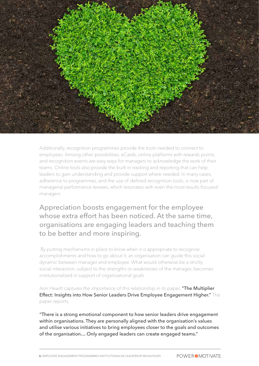

Additionally, recognition programmes provide the tools needed to connect to employees. Among other possibilities, eCards, online platforms with rewards points, and recognition events are easy ways for managers to acknowledge the work of their teams. Online tools also provide the built-in tracking and reporting that can help leaders to gain understanding and provide support where needed. In many cases, adherence to programmes, and the use of defined recognition tools, is now part of managerial performance reviews, which resonates with even the most results-focused managers.

Appreciation boosts engagement for the employee whose extra effort has been noticed. At the same time, organisations are engaging leaders and teaching them to be better and more inspiring.

 By putting mechanisms in place to know when it is appropriate to recognise accomplishments and how to go about it, an organisation can guide this social dynamic between manager and employee. What would otherwise be a strictly social interaction, subject to the strengths or weaknesses of the manager, becomes institutionalised in support of organisational goals.

Aon Hewitt captures the importance of this relationship in its paper, "The Multiplier Effect: Insights into How Senior Leaders Drive Employee Engagement Higher." The paper reports,

"There is a strong emotional component to how senior leaders drive engagement within organisations. They are personally aligned with the organisation's values and utilise various initiatives to bring employees closer to the goals and outcomes of the organisation… Only engaged leaders can create engaged teams."